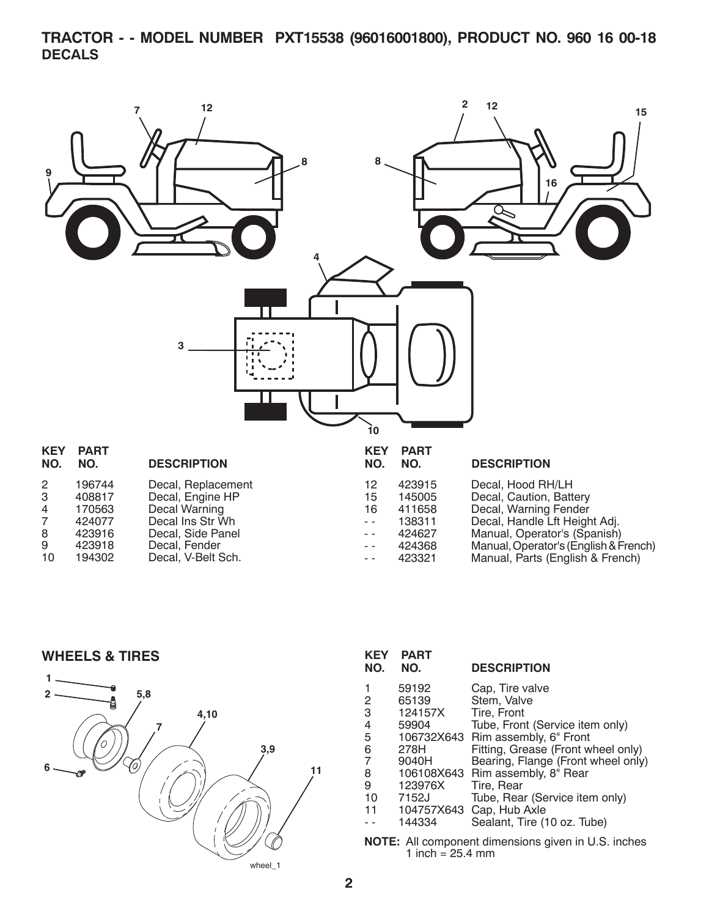**TRACTOR - - MODEL NUMBER PXT15538 (96016001800), PRODUCT NO. 960 16 00-18 DECALS**



**WHEELS & TIRES**



| <b>KEY</b><br>NO.                                     | <b>PART</b><br>NO. | <b>DESCRIPTION</b>                 |  |  |
|-------------------------------------------------------|--------------------|------------------------------------|--|--|
| 1                                                     | 59192              | Cap, Tire valve                    |  |  |
| 2                                                     | 65139              | Stem, Valve                        |  |  |
| 3                                                     | 124157X            | Tire, Front                        |  |  |
| 4                                                     | 59904              | Tube, Front (Service item only)    |  |  |
| 5                                                     |                    | 106732X643 Rim assembly, 6" Front  |  |  |
| 6                                                     | 278H               | Fitting, Grease (Front wheel only) |  |  |
| 7                                                     | 9040H              | Bearing, Flange (Front wheel only) |  |  |
| 8                                                     |                    | 106108X643 Rim assembly, 8" Rear   |  |  |
| 9                                                     | 123976X            | Tire, Rear                         |  |  |
| 10                                                    | 7152J              | Tube, Rear (Service item only)     |  |  |
| 11                                                    | 104757X643         | Cap, Hub Axle                      |  |  |
|                                                       | 144334             | Sealant, Tire (10 oz. Tube)        |  |  |
| All component dimensions given in LLS inches<br>NOTF· |                    |                                    |  |  |

All component dimensions given in U.S. inches 1 inch =  $25.4 \, \text{mm}$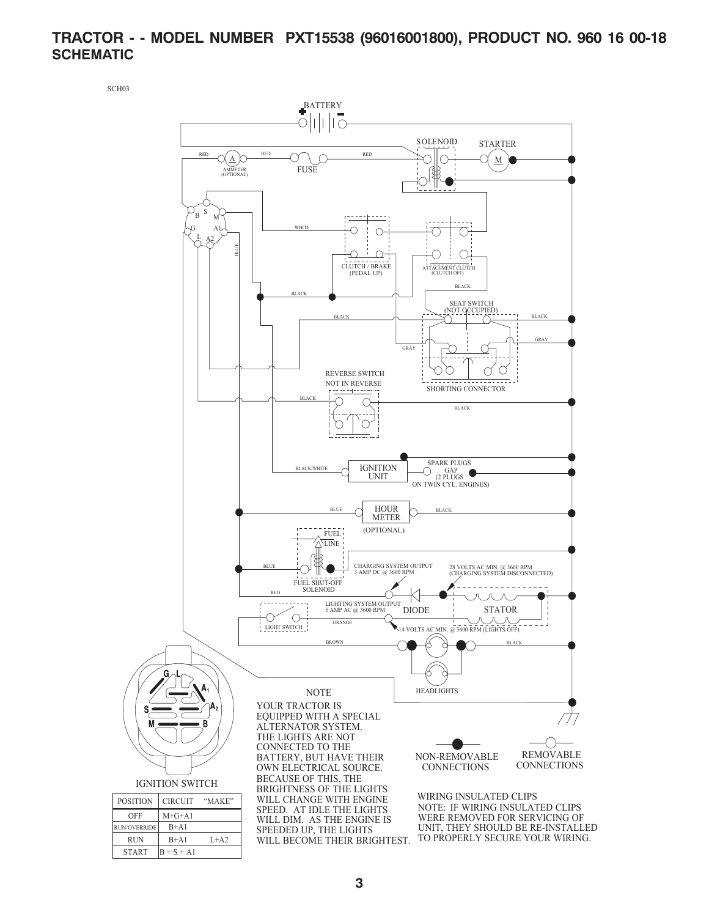## **TRACTOR - - MODEL NUMBER PXT15538 (96016001800), PRODUCT NO. 960 16 00-18 SCHEMATIC**

SCH03

 $START$   $\begin{vmatrix} B + S + A1 \end{vmatrix}$ 

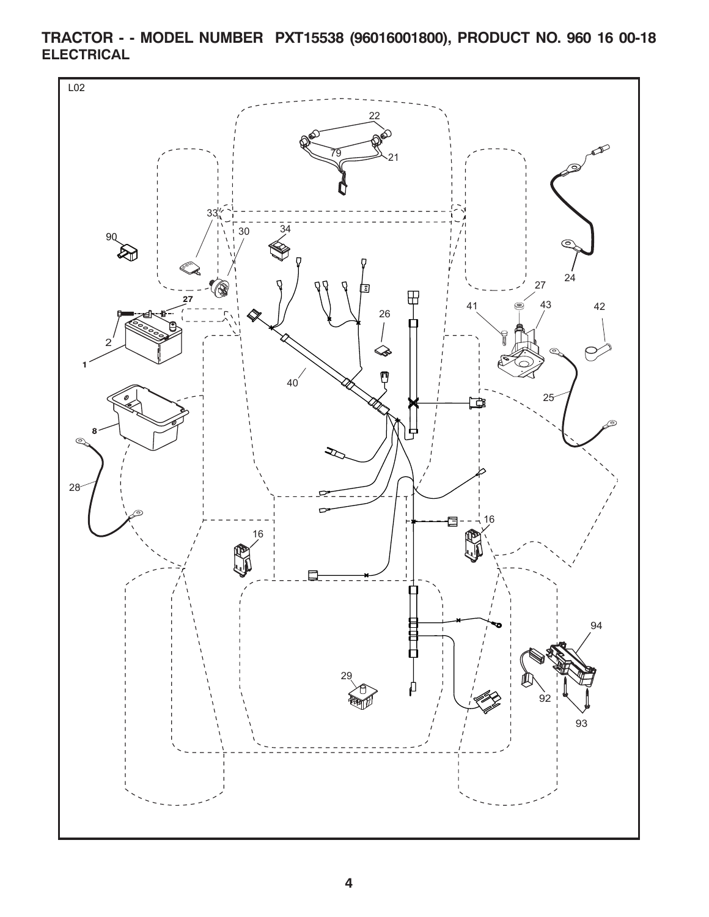

**TRACTOR - - MODEL NUMBER PXT15538 (96016001800), PRODUCT NO. 960 16 00-18 ELECTRICAL**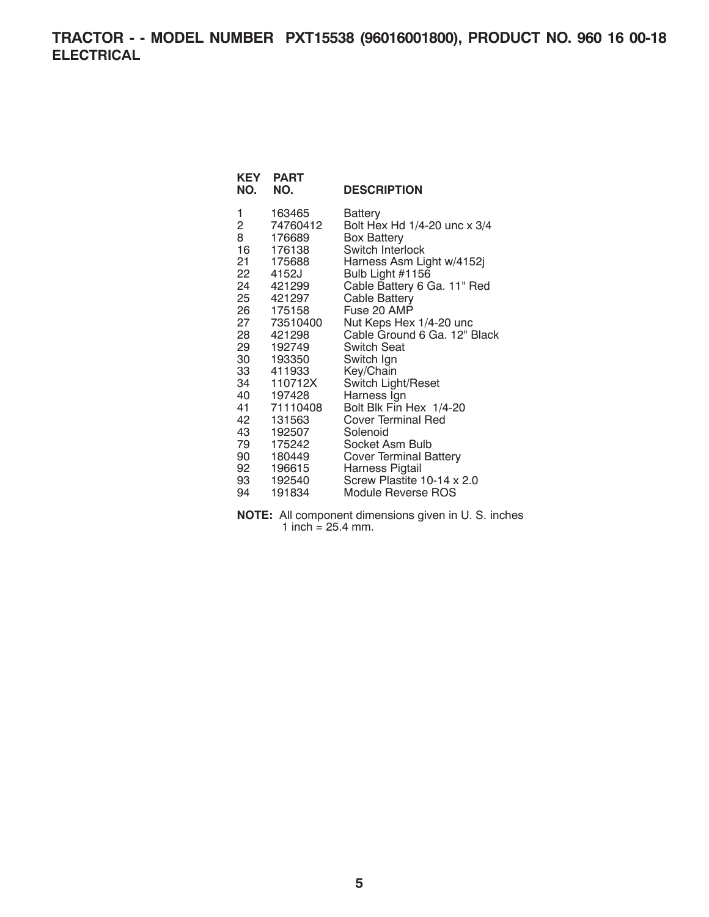**TRACTOR - - MODEL NUMBER PXT15538 (96016001800), PRODUCT NO. 960 16 00-18 ELECTRICAL**

| KEY                     | <b>PART</b> |                               |
|-------------------------|-------------|-------------------------------|
| NO.                     | NO.         | <b>DESCRIPTION</b>            |
| 1                       | 163465      | Battery                       |
| $\overline{\mathbf{c}}$ | 74760412    | Bolt Hex Hd 1/4-20 unc x 3/4  |
| 8                       | 176689      | <b>Box Battery</b>            |
| 16                      | 176138      | Switch Interlock              |
| 21.                     | 175688      | Harness Asm Light w/4152j     |
|                         | 22 4152J    | Bulb Light #1156              |
| 24                      | 421299      | Cable Battery 6 Ga. 11" Red   |
|                         | 25 421297   | Cable Battery                 |
|                         | 26 175158   | Fuse 20 AMP                   |
|                         | 27 73510400 | Nut Keps Hex 1/4-20 unc       |
|                         | 28 421298   | Cable Ground 6 Ga. 12" Black  |
| 29                      | 192749      | <b>Switch Seat</b>            |
|                         | 30 193350   | Switch Ign                    |
|                         | 33 411933   | Key/Chain                     |
| 34                      | 110712X     | Switch Light/Reset            |
|                         | 40 197428   | Harness Ign                   |
| 41                      | 71110408    | Bolt Blk Fin Hex 1/4-20       |
| 42                      | 131563      | Cover Terminal Red            |
|                         | 43 192507   | Solenoid                      |
| 79                      | 175242      | Socket Asm Bulb               |
| 90 —                    | 180449      | <b>Cover Terminal Battery</b> |
|                         | 92 196615   | Harness Pigtail               |
| 93                      | 192540      | Screw Plastite 10-14 x 2.0    |
| 94                      | 191834      | Module Reverse ROS            |

**NOTE:** All component dimensions given in U. S. inches 1 inch  $= 25.4$  mm.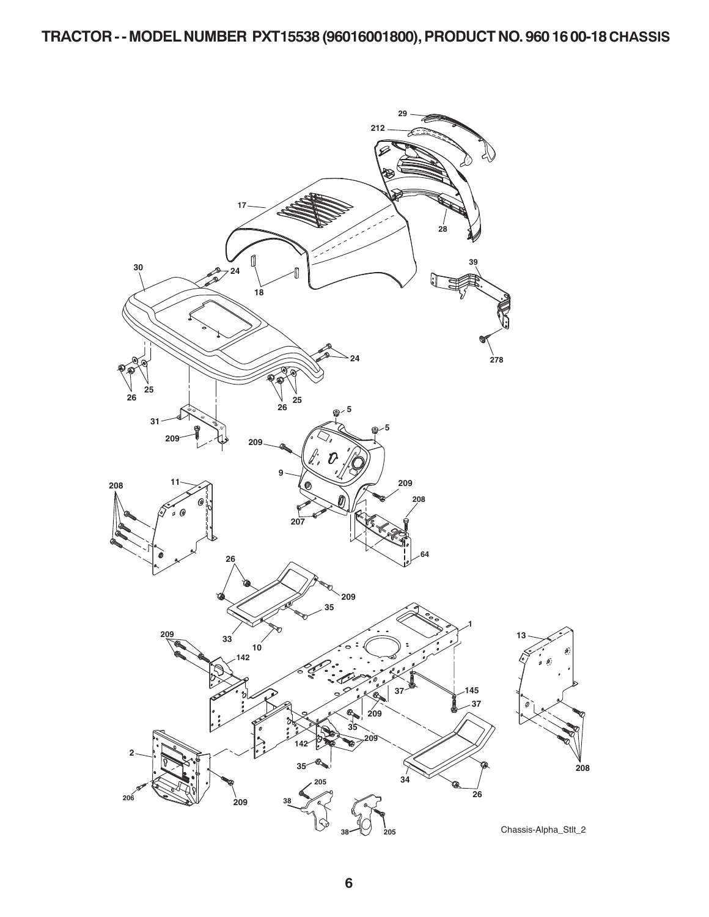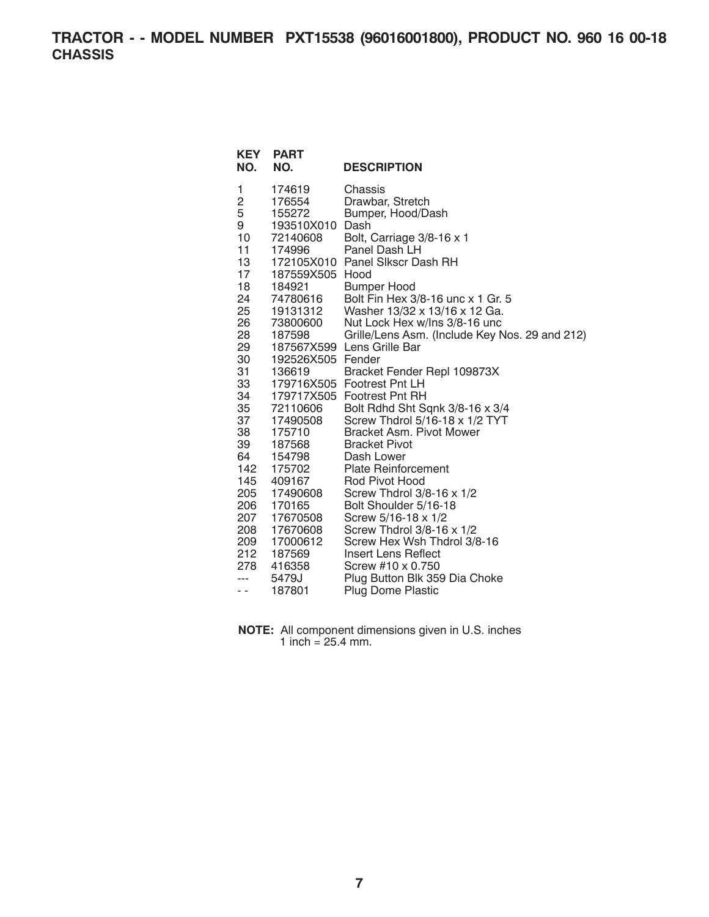**TRACTOR - - MODEL NUMBER PXT15538 (96016001800), PRODUCT NO. 960 16 00-18 CHASSIS**

| KEY<br>NO.                                                                                                                                                                                                | <b>PART</b><br>NO.                                                                                                                                                                                                                                                                                                                                                | <b>DESCRIPTION</b>                                                                                                                                                                                                                                                                                                                                                                                                                                                                                                                                                                                                                                                                                                                                                                                                                                                                     |
|-----------------------------------------------------------------------------------------------------------------------------------------------------------------------------------------------------------|-------------------------------------------------------------------------------------------------------------------------------------------------------------------------------------------------------------------------------------------------------------------------------------------------------------------------------------------------------------------|----------------------------------------------------------------------------------------------------------------------------------------------------------------------------------------------------------------------------------------------------------------------------------------------------------------------------------------------------------------------------------------------------------------------------------------------------------------------------------------------------------------------------------------------------------------------------------------------------------------------------------------------------------------------------------------------------------------------------------------------------------------------------------------------------------------------------------------------------------------------------------------|
| 1<br>2<br>5<br>9<br>10<br>11<br>13<br>17<br>18<br>24<br>25<br>26<br>28<br>29<br>30<br>31<br>33<br>34<br>35<br>37<br>38<br>39<br>64<br>142<br>145<br>205<br>206<br>207<br>208<br>209<br>212<br>278<br>$ -$ | 174619<br>176554<br>155272<br>193510X010<br>72140608<br>174996<br>187559X505 Hood<br>184921<br>74780616<br>19131312<br>73800600<br>187598<br>187567X599<br>192526X505 Fender<br>136619<br>72110606<br>17490508<br>175710<br>187568<br>154798<br>175702<br>409167<br>17490608<br>170165<br>17670508<br>17670608<br>17000612<br>187569<br>416358<br>5479J<br>187801 | Chassis<br>Drawbar, Stretch<br>Bumper, Hood/Dash<br>Dash<br>Bolt, Carriage 3/8-16 x 1<br>Panel Dash LH<br>172105X010 Panel Slkscr Dash RH<br><b>Bumper Hood</b><br>Bolt Fin Hex 3/8-16 unc x 1 Gr. 5<br>Washer 13/32 x 13/16 x 12 Ga.<br>Nut Lock Hex w/Ins 3/8-16 unc<br>Grille/Lens Asm. (Include Key Nos. 29 and 212)<br>Lens Grille Bar<br>Bracket Fender Repl 109873X<br>179716X505 Footrest Pnt LH<br>179717X505 Footrest Pnt RH<br>Bolt Rdhd Sht Sqnk 3/8-16 x 3/4<br>Screw Thdrol 5/16-18 x 1/2 TYT<br>Bracket Asm. Pivot Mower<br><b>Bracket Pivot</b><br>Dash Lower<br><b>Plate Reinforcement</b><br>Rod Pivot Hood<br>Screw Thdrol $3/8-16 \times 1/2$<br>Bolt Shoulder 5/16-18<br>Screw 5/16-18 x 1/2<br>Screw Thdrol 3/8-16 x 1/2<br>Screw Hex Wsh Thdrol 3/8-16<br>Insert Lens Reflect<br>Screw #10 x 0.750<br>Plug Button Blk 359 Dia Choke<br><b>Plug Dome Plastic</b> |

| <b>NOTE:</b> All component dimensions given in U.S. inches |
|------------------------------------------------------------|
| 1 inch = $25.4$ mm.                                        |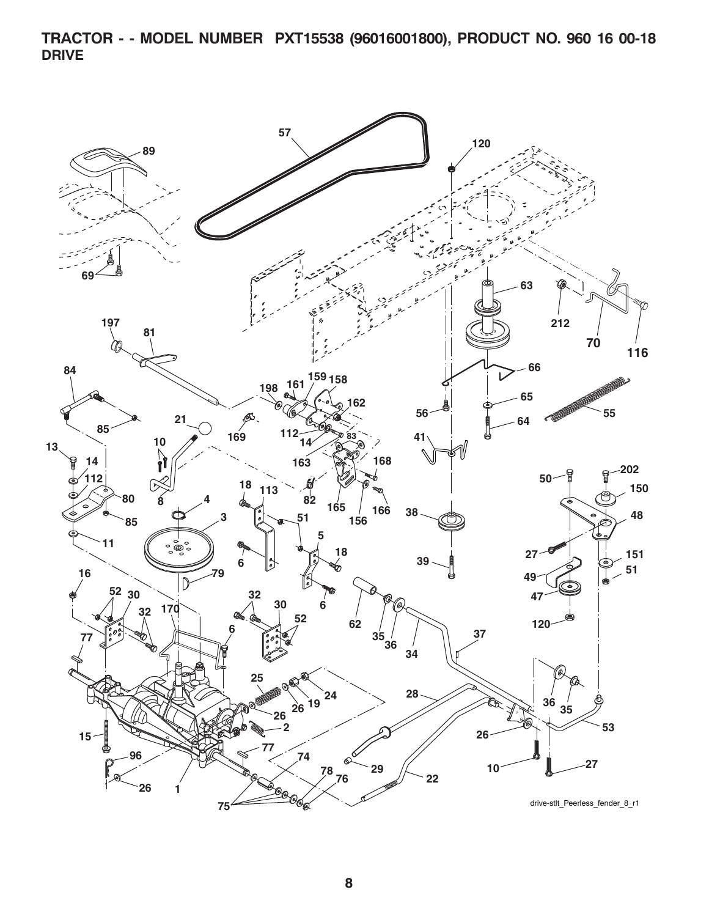**TRACTOR - - MODEL NUMBER PXT15538 (96016001800), PRODUCT NO. 960 16 00-18 DRIVE**

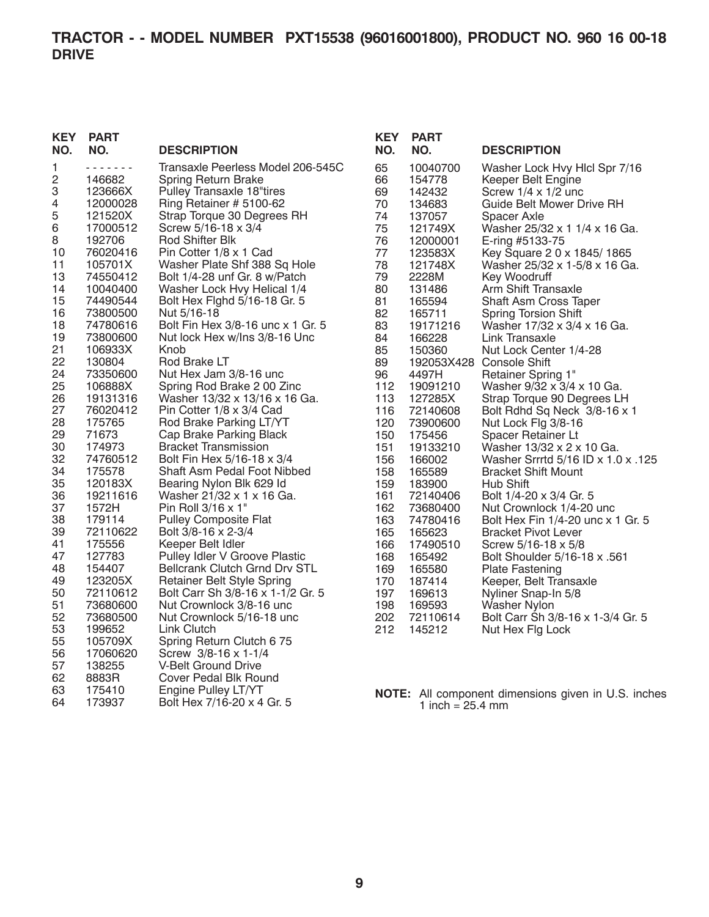| <b>KEY</b>          | <b>PART</b>         |                                                       |
|---------------------|---------------------|-------------------------------------------------------|
| NO.                 | NO.                 | <b>DESCRIPTION</b>                                    |
| 1                   |                     | Transaxle Peerless Model 206-545C                     |
| $\overline{c}$<br>3 | 146682              | Spring Return Brake                                   |
| 4                   | 123666X<br>12000028 | Pulley Transaxle 18"tires<br>Ring Retainer # 5100-62  |
| 5                   | 121520X             | Strap Torque 30 Degrees RH                            |
| 6                   | 17000512            | Screw 5/16-18 x 3/4                                   |
| 8                   | 192706              | Rod Shifter Blk                                       |
| 10                  | 76020416            | Pin Cotter 1/8 x 1 Cad                                |
| 11                  | 105701X             | Washer Plate Shf 388 Sq Hole                          |
| 13                  | 74550412            | Bolt 1/4-28 unf Gr. 8 w/Patch                         |
| 14                  | 10040400            | Washer Lock Hvy Helical 1/4                           |
| 15                  | 74490544            | Bolt Hex Flghd 5/16-18 Gr. 5                          |
| 16                  | 73800500            | Nut 5/16-18                                           |
| 18                  | 74780616            | Bolt Fin Hex 3/8-16 unc x 1 Gr. 5                     |
| 19<br>21            | 73800600            | Nut lock Hex w/Ins 3/8-16 Unc<br>Knob                 |
| 22                  | 106933X<br>130804   | Rod Brake LT                                          |
| 24                  | 73350600            | Nut Hex Jam 3/8-16 unc                                |
| 25                  | 106888X             | Spring Rod Brake 2 00 Zinc                            |
| 26                  | 19131316            | Washer 13/32 x 13/16 x 16 Ga.                         |
| 27                  | 76020412            | Pin Cotter 1/8 x 3/4 Cad                              |
| 28                  | 175765              | Rod Brake Parking LT/YT                               |
| 29                  | 71673               | Cap Brake Parking Black                               |
| 30                  | 174973              | <b>Bracket Transmission</b>                           |
| 32                  | 74760512            | Bolt Fin Hex 5/16-18 x 3/4                            |
| 34                  | 175578              | Shaft Asm Pedal Foot Nibbed                           |
| 35<br>36            | 120183X<br>19211616 | Bearing Nylon Blk 629 Id<br>Washer 21/32 x 1 x 16 Ga. |
| 37                  | 1572H               | Pin Roll 3/16 x 1"                                    |
| 38                  | 179114              | <b>Pulley Composite Flat</b>                          |
| 39                  | 72110622            | Bolt 3/8-16 x 2-3/4                                   |
| 41                  | 175556              | Keeper Belt Idler                                     |
| 47                  | 127783              | Pulley Idler V Groove Plastic                         |
| 48                  | 154407              | <b>Bellcrank Clutch Grnd Drv STL</b>                  |
| 49                  | 123205X             | Retainer Belt Style Spring                            |
| 50                  | 72110612            | Bolt Carr Sh 3/8-16 x 1-1/2 Gr. 5                     |
| 51                  | 73680600            | Nut Crownlock 3/8-16 unc                              |
| 52                  | 73680500            | Nut Crownlock 5/16-18 unc                             |
| 53                  | 199652              | Link Clutch                                           |
| 55<br>56            | 105709X<br>17060620 | Spring Return Clutch 6 75<br>Screw 3/8-16 x 1-1/4     |
| 57                  | 138255              | V-Belt Ground Drive                                   |
| 62                  | 8883R               | Cover Pedal Blk Round                                 |
| 63                  | 175410              | <b>Engine Pulley LT/YT</b>                            |
| 64                  | 173937              | Bolt Hex 7/16-20 x 4 Gr. 5                            |

| KEY        | <b>PART</b>         |                                                             |
|------------|---------------------|-------------------------------------------------------------|
| NO.        | NO.                 | <b>DESCRIPTION</b>                                          |
| 65         | 10040700            | Washer Lock Hvy Hicl Spr 7/16                               |
| 66         | 154778              | Keeper Belt Engine                                          |
| 69         | 142432              | Screw $1/4 \times 1/2$ unc                                  |
| 70         | 134683              | Guide Belt Mower Drive RH                                   |
| 74         | 137057              | Spacer Axle                                                 |
| 75         | 121749X             | Washer 25/32 x 1 1/4 x 16 Ga.                               |
| 76<br>77   | 12000001<br>123583X | E-ring #5133-75                                             |
| 78         | 121748X             | Key Square 2 0 x 1845/1865<br>Washer 25/32 x 1-5/8 x 16 Ga. |
| 79         | 2228M               | Key Woodruff                                                |
| 80         | 131486              | <b>Arm Shift Transaxle</b>                                  |
| 81         | 165594              | Shaft Asm Cross Taper                                       |
| 82         | 165711              | <b>Spring Torsion Shift</b>                                 |
| 83         | 19171216            | Washer 17/32 x 3/4 x 16 Ga.                                 |
| 84         | 166228              | Link Transaxle                                              |
| 85         | 150360              | Nut Lock Center 1/4-28                                      |
| 89         | 192053X428          | <b>Console Shift</b>                                        |
| 96         | 4497H               | <b>Retainer Spring 1"</b>                                   |
| 112        | 19091210            | Washer 9/32 x 3/4 x 10 Ga.                                  |
| 113        | 127285X             | Strap Torque 90 Degrees LH                                  |
| 116        | 72140608            | Bolt Rdhd Sq Neck 3/8-16 x 1                                |
| 120        | 73900600            | Nut Lock Flg 3/8-16                                         |
| 150<br>151 | 175456              | Spacer Retainer Lt<br>Washer 13/32 x 2 x 10 Ga.             |
| 156        | 19133210<br>166002  | Washer Srrrtd 5/16 ID x 1.0 x .125                          |
| 158        | 165589              | <b>Bracket Shift Mount</b>                                  |
| 159        | 183900              | <b>Hub Shift</b>                                            |
| 161        | 72140406            | Bolt 1/4-20 x 3/4 Gr. 5                                     |
| 162        | 73680400            | Nut Crownlock 1/4-20 unc                                    |
| 163        | 74780416            | Bolt Hex Fin 1/4-20 unc x 1 Gr. 5                           |
| 165        | 165623              | <b>Bracket Pivot Lever</b>                                  |
| 166        | 17490510            | Screw 5/16-18 x 5/8                                         |
| 168        | 165492              | <b>Bolt Shoulder 5/16-18 x .561</b>                         |
| 169        | 165580              | <b>Plate Fastening</b>                                      |
| 170        | 187414              | Keeper, Belt Transaxle                                      |
| 197        | 169613              | Nyliner Snap-In 5/8                                         |
| 198        | 169593              | <b>Washer Nylon</b>                                         |
| 202        | 72110614            | Bolt Carr Sh 3/8-16 x 1-3/4 Gr. 5                           |
| 212        | 145212              | Nut Hex Flg Lock                                            |

**NOTE:** All component dimensions given in U.S. inches 1 inch =  $25.4 \, \text{mm}$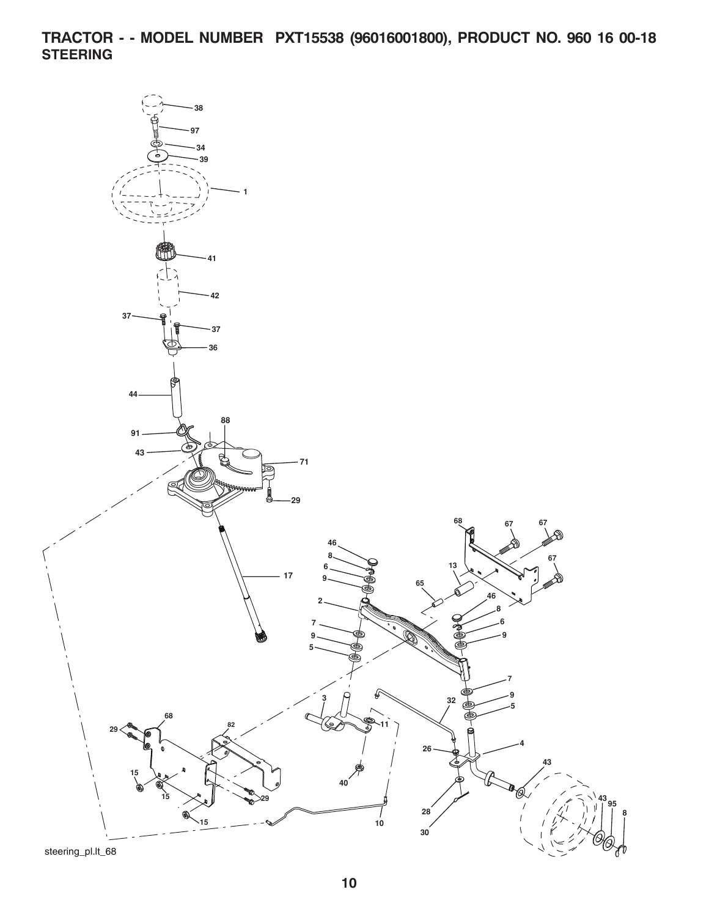**TRACTOR - - MODEL NUMBER PXT15538 (96016001800), PRODUCT NO. 960 16 00-18 STEERING**

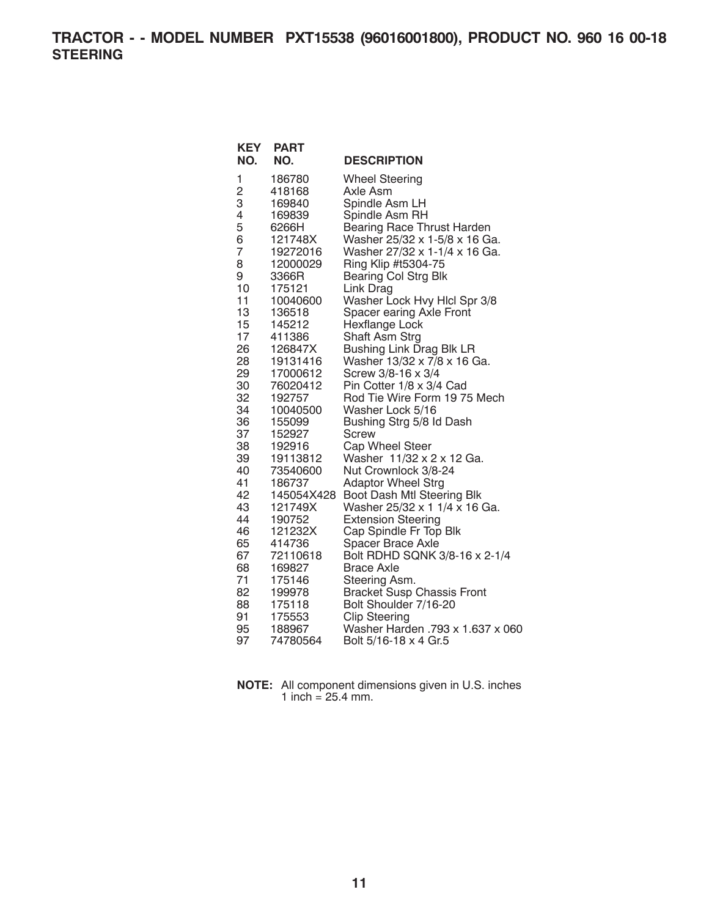**TRACTOR - - MODEL NUMBER PXT15538 (96016001800), PRODUCT NO. 960 16 00-18 STEERING**

| NO.<br>NO.<br><b>DESCRIPTION</b><br>1<br>186780<br><b>Wheel Steering</b><br>$\overline{c}$<br>418168<br>Axle Asm<br>3<br>Spindle Asm LH<br>169840<br>4<br>Spindle Asm RH<br>169839<br>5<br><b>Bearing Race Thrust Harden</b><br>6266H<br>6<br>121748X<br>Washer 25/32 x 1-5/8 x 16 Ga.<br>7<br>Washer 27/32 x 1-1/4 x 16 Ga.<br>19272016<br>Ring Klip #t5304-75<br>8<br>12000029<br>Bearing Col Strg Blk<br>9<br>3366R<br>10<br>175121<br>Link Drag<br>Washer Lock Hvy Hlcl Spr 3/8<br>11<br>10040600<br>13<br>Spacer earing Axle Front<br>136518<br>15<br>Hexflange Lock<br>145212<br>17<br>Shaft Asm Strg<br>411386<br><b>Bushing Link Drag Blk LR</b><br>26<br>126847X<br>Washer 13/32 x 7/8 x 16 Ga.<br>28<br>19131416<br>29<br>17000612<br>Screw 3/8-16 x 3/4<br>30<br>76020412<br>Pin Cotter 1/8 x 3/4 Cad<br>32<br>Rod Tie Wire Form 19 75 Mech<br>192757<br>34<br>10040500<br>Washer Lock 5/16<br>36<br>Bushing Strg 5/8 Id Dash<br>155099<br>37<br>152927<br>Screw<br>38<br>Cap Wheel Steer<br>192916<br>39<br>Washer 11/32 x 2 x 12 Ga.<br>19113812<br>Nut Crownlock 3/8-24<br>40<br>73540600<br>41<br><b>Adaptor Wheel Strg</b><br>186737<br>42<br>Boot Dash Mtl Steering Blk<br>145054X428 |
|--------------------------------------------------------------------------------------------------------------------------------------------------------------------------------------------------------------------------------------------------------------------------------------------------------------------------------------------------------------------------------------------------------------------------------------------------------------------------------------------------------------------------------------------------------------------------------------------------------------------------------------------------------------------------------------------------------------------------------------------------------------------------------------------------------------------------------------------------------------------------------------------------------------------------------------------------------------------------------------------------------------------------------------------------------------------------------------------------------------------------------------------------------------------------------------------------------|
|                                                                                                                                                                                                                                                                                                                                                                                                                                                                                                                                                                                                                                                                                                                                                                                                                                                                                                                                                                                                                                                                                                                                                                                                        |
|                                                                                                                                                                                                                                                                                                                                                                                                                                                                                                                                                                                                                                                                                                                                                                                                                                                                                                                                                                                                                                                                                                                                                                                                        |
|                                                                                                                                                                                                                                                                                                                                                                                                                                                                                                                                                                                                                                                                                                                                                                                                                                                                                                                                                                                                                                                                                                                                                                                                        |
|                                                                                                                                                                                                                                                                                                                                                                                                                                                                                                                                                                                                                                                                                                                                                                                                                                                                                                                                                                                                                                                                                                                                                                                                        |
|                                                                                                                                                                                                                                                                                                                                                                                                                                                                                                                                                                                                                                                                                                                                                                                                                                                                                                                                                                                                                                                                                                                                                                                                        |
|                                                                                                                                                                                                                                                                                                                                                                                                                                                                                                                                                                                                                                                                                                                                                                                                                                                                                                                                                                                                                                                                                                                                                                                                        |
|                                                                                                                                                                                                                                                                                                                                                                                                                                                                                                                                                                                                                                                                                                                                                                                                                                                                                                                                                                                                                                                                                                                                                                                                        |
|                                                                                                                                                                                                                                                                                                                                                                                                                                                                                                                                                                                                                                                                                                                                                                                                                                                                                                                                                                                                                                                                                                                                                                                                        |
|                                                                                                                                                                                                                                                                                                                                                                                                                                                                                                                                                                                                                                                                                                                                                                                                                                                                                                                                                                                                                                                                                                                                                                                                        |
|                                                                                                                                                                                                                                                                                                                                                                                                                                                                                                                                                                                                                                                                                                                                                                                                                                                                                                                                                                                                                                                                                                                                                                                                        |
|                                                                                                                                                                                                                                                                                                                                                                                                                                                                                                                                                                                                                                                                                                                                                                                                                                                                                                                                                                                                                                                                                                                                                                                                        |
|                                                                                                                                                                                                                                                                                                                                                                                                                                                                                                                                                                                                                                                                                                                                                                                                                                                                                                                                                                                                                                                                                                                                                                                                        |
|                                                                                                                                                                                                                                                                                                                                                                                                                                                                                                                                                                                                                                                                                                                                                                                                                                                                                                                                                                                                                                                                                                                                                                                                        |
|                                                                                                                                                                                                                                                                                                                                                                                                                                                                                                                                                                                                                                                                                                                                                                                                                                                                                                                                                                                                                                                                                                                                                                                                        |
|                                                                                                                                                                                                                                                                                                                                                                                                                                                                                                                                                                                                                                                                                                                                                                                                                                                                                                                                                                                                                                                                                                                                                                                                        |
|                                                                                                                                                                                                                                                                                                                                                                                                                                                                                                                                                                                                                                                                                                                                                                                                                                                                                                                                                                                                                                                                                                                                                                                                        |
|                                                                                                                                                                                                                                                                                                                                                                                                                                                                                                                                                                                                                                                                                                                                                                                                                                                                                                                                                                                                                                                                                                                                                                                                        |
|                                                                                                                                                                                                                                                                                                                                                                                                                                                                                                                                                                                                                                                                                                                                                                                                                                                                                                                                                                                                                                                                                                                                                                                                        |
|                                                                                                                                                                                                                                                                                                                                                                                                                                                                                                                                                                                                                                                                                                                                                                                                                                                                                                                                                                                                                                                                                                                                                                                                        |
|                                                                                                                                                                                                                                                                                                                                                                                                                                                                                                                                                                                                                                                                                                                                                                                                                                                                                                                                                                                                                                                                                                                                                                                                        |
|                                                                                                                                                                                                                                                                                                                                                                                                                                                                                                                                                                                                                                                                                                                                                                                                                                                                                                                                                                                                                                                                                                                                                                                                        |
|                                                                                                                                                                                                                                                                                                                                                                                                                                                                                                                                                                                                                                                                                                                                                                                                                                                                                                                                                                                                                                                                                                                                                                                                        |
|                                                                                                                                                                                                                                                                                                                                                                                                                                                                                                                                                                                                                                                                                                                                                                                                                                                                                                                                                                                                                                                                                                                                                                                                        |
|                                                                                                                                                                                                                                                                                                                                                                                                                                                                                                                                                                                                                                                                                                                                                                                                                                                                                                                                                                                                                                                                                                                                                                                                        |
|                                                                                                                                                                                                                                                                                                                                                                                                                                                                                                                                                                                                                                                                                                                                                                                                                                                                                                                                                                                                                                                                                                                                                                                                        |
|                                                                                                                                                                                                                                                                                                                                                                                                                                                                                                                                                                                                                                                                                                                                                                                                                                                                                                                                                                                                                                                                                                                                                                                                        |
|                                                                                                                                                                                                                                                                                                                                                                                                                                                                                                                                                                                                                                                                                                                                                                                                                                                                                                                                                                                                                                                                                                                                                                                                        |
| 43<br>121749X<br>Washer 25/32 x 1 1/4 x 16 Ga.                                                                                                                                                                                                                                                                                                                                                                                                                                                                                                                                                                                                                                                                                                                                                                                                                                                                                                                                                                                                                                                                                                                                                         |
| 44<br>190752<br><b>Extension Steering</b>                                                                                                                                                                                                                                                                                                                                                                                                                                                                                                                                                                                                                                                                                                                                                                                                                                                                                                                                                                                                                                                                                                                                                              |
| 46<br>121232X<br>Cap Spindle Fr Top Blk                                                                                                                                                                                                                                                                                                                                                                                                                                                                                                                                                                                                                                                                                                                                                                                                                                                                                                                                                                                                                                                                                                                                                                |
| 65<br>Spacer Brace Axle<br>414736<br>Bolt RDHD SQNK 3/8-16 x 2-1/4<br>67<br>72110618                                                                                                                                                                                                                                                                                                                                                                                                                                                                                                                                                                                                                                                                                                                                                                                                                                                                                                                                                                                                                                                                                                                   |
| 68<br><b>Brace Axle</b><br>169827                                                                                                                                                                                                                                                                                                                                                                                                                                                                                                                                                                                                                                                                                                                                                                                                                                                                                                                                                                                                                                                                                                                                                                      |
| 71<br>175146<br>Steering Asm.                                                                                                                                                                                                                                                                                                                                                                                                                                                                                                                                                                                                                                                                                                                                                                                                                                                                                                                                                                                                                                                                                                                                                                          |
| 82<br><b>Bracket Susp Chassis Front</b><br>199978                                                                                                                                                                                                                                                                                                                                                                                                                                                                                                                                                                                                                                                                                                                                                                                                                                                                                                                                                                                                                                                                                                                                                      |
| Bolt Shoulder 7/16-20<br>88<br>175118                                                                                                                                                                                                                                                                                                                                                                                                                                                                                                                                                                                                                                                                                                                                                                                                                                                                                                                                                                                                                                                                                                                                                                  |
| 91<br><b>Clip Steering</b><br>175553                                                                                                                                                                                                                                                                                                                                                                                                                                                                                                                                                                                                                                                                                                                                                                                                                                                                                                                                                                                                                                                                                                                                                                   |
| Washer Harden .793 x 1.637 x 060<br>95<br>188967                                                                                                                                                                                                                                                                                                                                                                                                                                                                                                                                                                                                                                                                                                                                                                                                                                                                                                                                                                                                                                                                                                                                                       |
| 97<br>Bolt 5/16-18 x 4 Gr.5<br>74780564                                                                                                                                                                                                                                                                                                                                                                                                                                                                                                                                                                                                                                                                                                                                                                                                                                                                                                                                                                                                                                                                                                                                                                |

**NOTE:** All component dimensions given in U.S. inches 1 inch =  $25.4$  mm.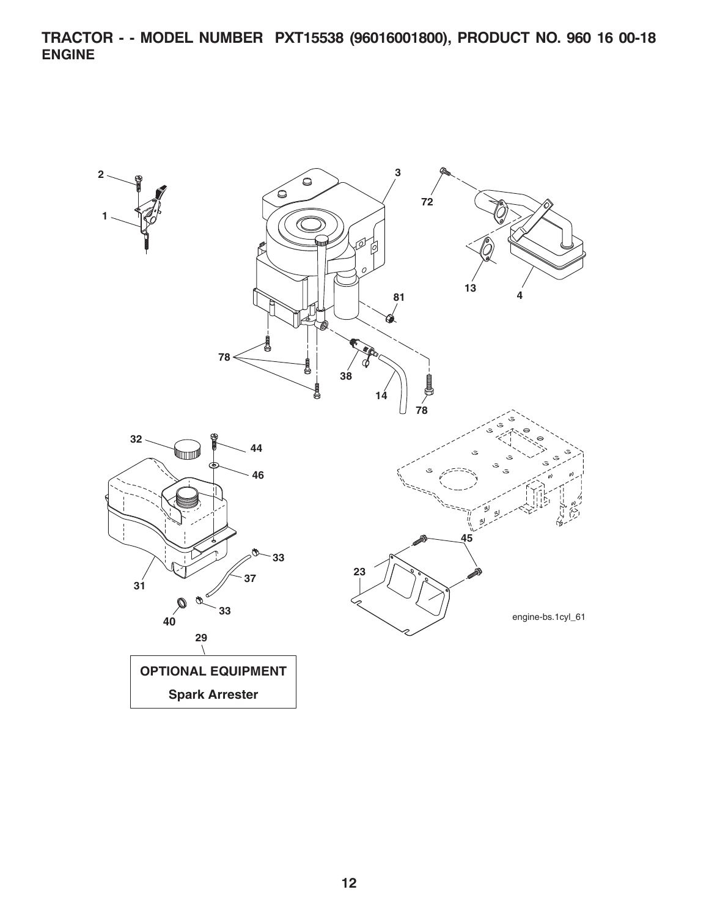**TRACTOR - - MODEL NUMBER PXT15538 (96016001800), PRODUCT NO. 960 16 00-18 ENGINE**

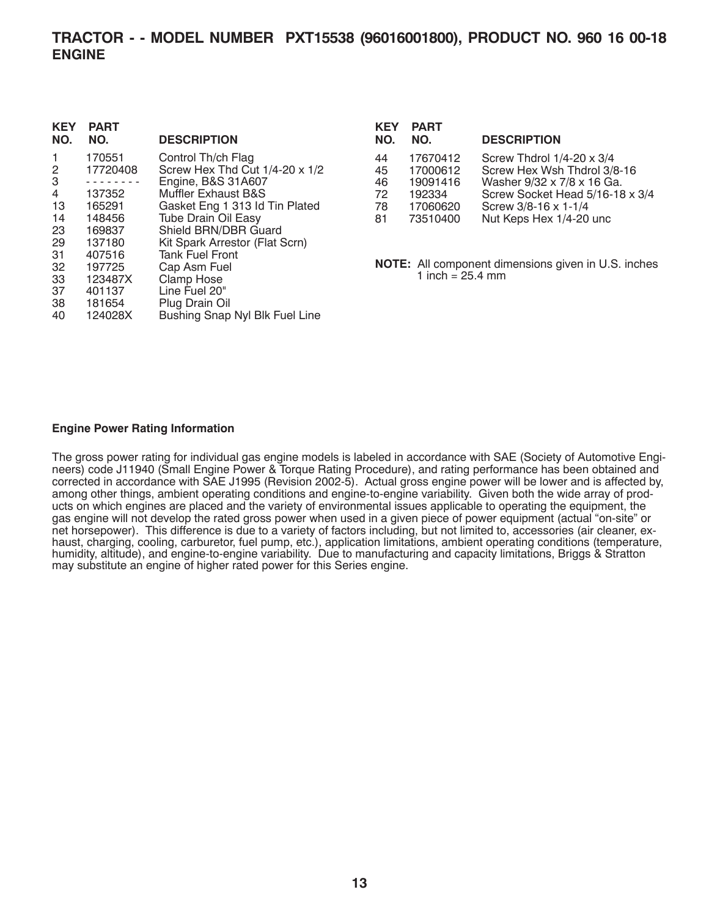## **TRACTOR - - MODEL NUMBER PXT15538 (96016001800), PRODUCT NO. 960 16 00-18 ENGINE**

| <b>KEY</b><br>NO. | <b>PART</b><br>NO. | <b>DESCRIPTION</b>                  |
|-------------------|--------------------|-------------------------------------|
| 1                 | 170551             | Control Th/ch Flag                  |
| 2                 | 17720408           | Screw Hex Thd Cut $1/4$ -20 x $1/2$ |
| 3                 |                    | Engine, B&S 31A607                  |
| 4                 | 137352             | Muffler Exhaust B&S                 |
| 13                | 165291             | Gasket Eng 1 313 ld Tin Plated      |
| 14                | 148456             | <b>Tube Drain Oil Easy</b>          |
| 23                | 169837             | Shield BRN/DBR Guard                |
| 29                | 137180             | Kit Spark Arrestor (Flat Scrn)      |
| 31                | 407516             | <b>Tank Fuel Front</b>              |
| 32                | 197725             | Cap Asm Fuel                        |
| 33                | 123487X            | <b>Clamp Hose</b>                   |
| 37                | 401137             | Line Fuel 20"                       |
| 38                | 181654             | Plug Drain Oil                      |
| 40                | 124028X            | Bushing Snap Nyl Blk Fuel Line      |
|                   |                    |                                     |

| <b>KEY</b><br>NO. | <b>PART</b><br>NO. | <b>DESCRIPTION</b>                  |
|-------------------|--------------------|-------------------------------------|
| 44                | 17670412           | Screw Thdrol $1/4$ -20 $\times$ 3/4 |
| 45                | 17000612           | Screw Hex Wsh Thdrol 3/8-16         |
| 46                | 19091416           | Washer 9/32 x 7/8 x 16 Ga.          |
| 72                | 192334             | Screw Socket Head 5/16-18 x 3/4     |
| 78                | 17060620           | Screw 3/8-16 x 1-1/4                |
| 81                | 73510400           | Nut Keps Hex 1/4-20 unc             |
|                   |                    |                                     |

**NOTE:** All component dimensions given in U.S. inches 1 inch =  $25.4 \, \text{mm}$ 

#### **Engine Power Rating Information**

The gross power rating for individual gas engine models is labeled in accordance with SAE (Society of Automotive Engineers) code J11940 (Small Engine Power & Torque Rating Procedure), and rating performance has been obtained and corrected in accordance with SAE J1995 (Revision 2002-5). Actual gross engine power will be lower and is affected by, among other things, ambient operating conditions and engine-to-engine variability. Given both the wide array of products on which engines are placed and the variety of environmental issues applicable to operating the equipment, the gas engine will not develop the rated gross power when used in a given piece of power equipment (actual "on-site" or ging rights mines. This difference is due to a variety of factors including, but not limited to, accessories (air cleaner, exhaust, charging, cooling, carburetor, fuel pump, etc.), application limitations, ambient operating conditions (temperature, humidity, altitude), and engine-to-engine variability. Due to manufacturing and capacity limitations, Briggs & Stratton may substitute an engine of higher rated power for this Series engine.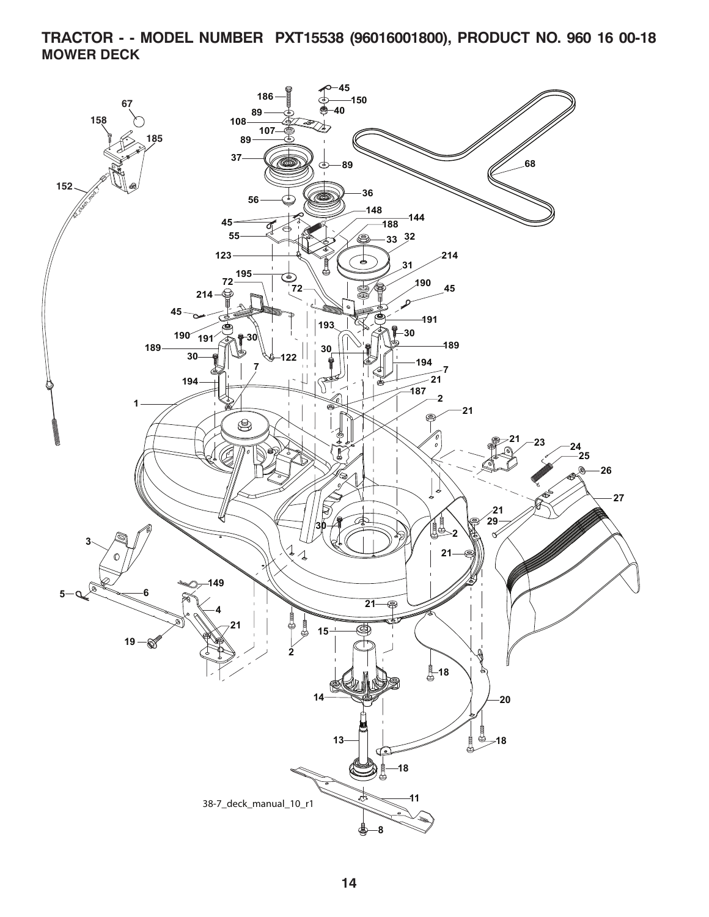## **TRACTOR - - MODEL NUMBER PXT15538 (96016001800), PRODUCT NO. 960 16 00-18 MOWER DECK**

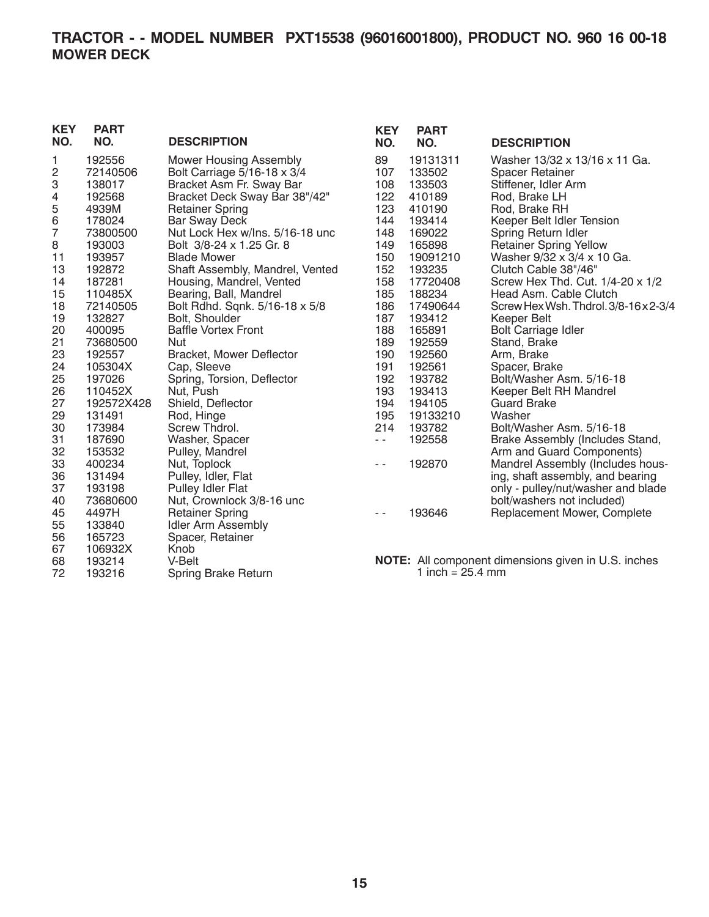# **TRACTOR - - MODEL NUMBER PXT15538 (96016001800), PRODUCT NO. 960 16 00-18 MOWER DECK**

| <b>KEY</b><br>NO. | <b>PART</b><br>NO. | <b>DESCRIPTION</b>              | <b>KEY</b><br>NO. | <b>PART</b><br>NO.         | <b>DESCRIPTION</b>                                         |
|-------------------|--------------------|---------------------------------|-------------------|----------------------------|------------------------------------------------------------|
| 1                 | 192556             | <b>Mower Housing Assembly</b>   | 89                | 19131311                   | Washer 13/32 x 13/16 x 11 Ga.                              |
| 2                 | 72140506           | Bolt Carriage 5/16-18 x 3/4     | 107               | 133502                     | <b>Spacer Retainer</b>                                     |
| 3                 | 138017             | Bracket Asm Fr. Sway Bar        | 108               | 133503                     | Stiffener, Idler Arm                                       |
| 4                 | 192568             | Bracket Deck Sway Bar 38"/42"   | 122               | 410189                     | Rod, Brake LH                                              |
| 5                 | 4939M              | <b>Retainer Spring</b>          | 123               | 410190                     | Rod, Brake RH                                              |
| 6                 | 178024             | <b>Bar Sway Deck</b>            | 144               | 193414                     | Keeper Belt Idler Tension                                  |
| 7                 | 73800500           | Nut Lock Hex w/Ins. 5/16-18 unc | 148               | 169022                     | Spring Return Idler                                        |
| 8                 | 193003             | Bolt 3/8-24 x 1.25 Gr. 8        | 149               | 165898                     | <b>Retainer Spring Yellow</b>                              |
| 11                | 193957             | <b>Blade Mower</b>              | 150               | 19091210                   | Washer 9/32 x 3/4 x 10 Ga.                                 |
| 13                | 192872             | Shaft Assembly, Mandrel, Vented | 152               | 193235                     | Clutch Cable 38"/46"                                       |
| 14                | 187281             | Housing, Mandrel, Vented        | 158               | 17720408                   | Screw Hex Thd. Cut. 1/4-20 x 1/2                           |
| 15                | 110485X            | Bearing, Ball, Mandrel          | 185               | 188234                     | Head Asm. Cable Clutch                                     |
| 18                | 72140505           | Bolt Rdhd. Sqnk. 5/16-18 x 5/8  | 186               | 17490644                   | Screw Hex Wsh. Thdrol. 3/8-16 x 2-3/4                      |
| 19                | 132827             | Bolt, Shoulder                  | 187               | 193412                     | Keeper Belt                                                |
| 20                | 400095             | <b>Baffle Vortex Front</b>      | 188               | 165891                     | <b>Bolt Carriage Idler</b>                                 |
| 21                | 73680500           | Nut                             | 189               | 192559                     | Stand, Brake                                               |
| 23                | 192557             | <b>Bracket, Mower Deflector</b> | 190               | 192560                     | Arm, Brake                                                 |
| 24                | 105304X            | Cap, Sleeve                     | 191               | 192561                     | Spacer, Brake                                              |
| 25                | 197026             | Spring, Torsion, Deflector      | 192               | 193782                     | Bolt/Washer Asm. 5/16-18                                   |
| 26                | 110452X            | Nut, Push                       | 193               | 193413                     | Keeper Belt RH Mandrel                                     |
| 27                | 192572X428         | Shield, Deflector               | 194               | 194105                     | <b>Guard Brake</b>                                         |
| 29                | 131491             | Rod, Hinge                      | 195               | 19133210                   | Washer                                                     |
| 30                | 173984             | Screw Thdrol.                   | 214               | 193782                     | Bolt/Washer Asm. 5/16-18                                   |
| 31                | 187690             | Washer, Spacer                  | $\sim$ $\sim$     | 192558                     | Brake Assembly (Includes Stand,                            |
| 32                | 153532             | Pulley, Mandrel                 |                   |                            | Arm and Guard Components)                                  |
| 33                | 400234             | Nut, Toplock                    | $ -$              | 192870                     | Mandrel Assembly (Includes hous-                           |
| 36                | 131494             | Pulley, Idler, Flat             |                   |                            | ing, shaft assembly, and bearing                           |
| 37                | 193198             | Pulley Idler Flat               |                   |                            | only - pulley/nut/washer and blade                         |
| 40                | 73680600           | Nut, Crownlock 3/8-16 unc       |                   |                            | bolt/washers not included)                                 |
| 45                | 4497H              | <b>Retainer Spring</b>          | $ -$              | 193646                     | Replacement Mower, Complete                                |
| 55                | 133840             | <b>Idler Arm Assembly</b>       |                   |                            |                                                            |
| 56                | 165723             | Spacer, Retainer                |                   |                            |                                                            |
| 67                | 106932X            | Knob                            |                   |                            |                                                            |
| 68                | 193214             | V-Belt                          |                   |                            | <b>NOTE:</b> All component dimensions given in U.S. inches |
| 72                | 193216             | Spring Brake Return             |                   | 1 inch = $25.4 \text{ mm}$ |                                                            |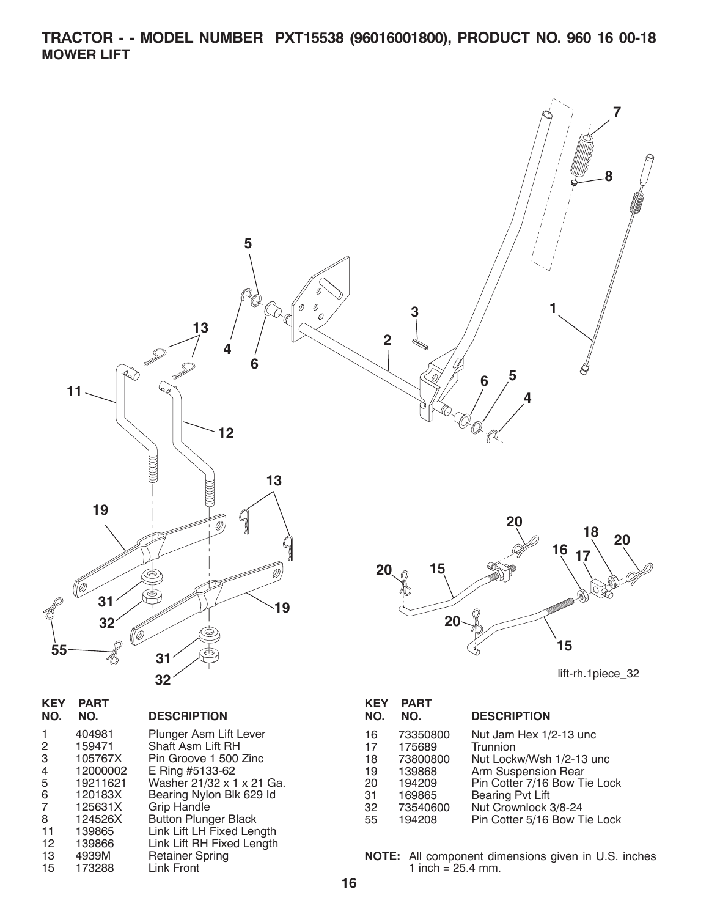**TRACTOR - - MODEL NUMBER PXT15538 (96016001800), PRODUCT NO. 960 16 00-18 MOWER LIFT**



32 73540600 Nut Crownlock 3/8-24 Pin Cotter 5/16 Bow Tie Lock

**NOTE:** All component dimensions given in U.S. inches 1 inch  $= 25.4$  mm.

8 124526X Button Plunger Black 11 139865 Link Lift LH Fixed Length 12 139866 Link Lift RH Fixed Length

13 4939M Retainer Spring 15 173288 Link Front